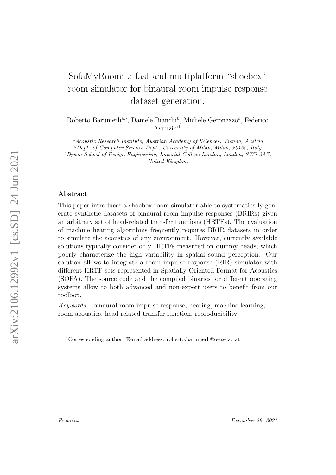# SofaMyRoom: a fast and multiplatform "shoebox" room simulator for binaural room impulse response dataset generation.

Roberto Barumerli<sup>a,\*</sup>, Daniele Bianchi<sup>b</sup>, Michele Geronazzo<sup>c</sup>, Federico Avanzini<sup>b</sup>

 $a_{A}\alpha$ coustic Research Institute, Austrian Academy of Sciences, Vienna, Austria  $b$  Dept. of Computer Science Dept., University of Milan, Milan, 20135, Italy <sup>c</sup>Dyson School of Design Engineering, Imperial College London, London, SW7 2AZ, United Kingdom

#### Abstract

This paper introduces a shoebox room simulator able to systematically generate synthetic datasets of binaural room impulse responses (BRIRs) given an arbitrary set of head-related transfer functions (HRTFs). The evaluation of machine hearing algorithms frequently requires BRIR datasets in order to simulate the acoustics of any environment. However, currently available solutions typically consider only HRTFs measured on dummy heads, which poorly characterize the high variability in spatial sound perception. Our solution allows to integrate a room impulse response (RIR) simulator with different HRTF sets represented in Spatially Oriented Format for Acoustics (SOFA). The source code and the compiled binaries for different operating systems allow to both advanced and non-expert users to benefit from our toolbox.

Keywords: binaural room impulse response, hearing, machine learning, room acoustics, head related transfer function, reproducibility

<sup>∗</sup>Corresponding author. E-mail address: roberto.barumerli@oeaw.ac.at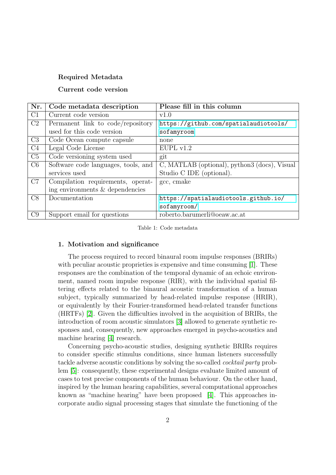## Required Metadata

## Current code version

| Nr.            | Code metadata description           | Please fill in this column                   |
|----------------|-------------------------------------|----------------------------------------------|
| C1             | Current code version                | v1.0                                         |
| C2             | Permanent link to code/repository   | https://github.com/spatialaudiotools/        |
|                | used for this code version          | sofamyroom                                   |
| C <sub>3</sub> | Code Ocean compute capsule          | none                                         |
| C <sub>4</sub> | Legal Code License                  | EUPL v1.2                                    |
| C5             | Code versioning system used         | git                                          |
| C6             | Software code languages, tools, and | C, MATLAB (optional), python3 (docs), Visual |
|                | services used                       | Studio C IDE (optional).                     |
| C7             | Compilation requirements, operat-   | gcc, cmake                                   |
|                | ing environments & dependencies     |                                              |
| C8             | Documentation                       | https://spatialaudiotools.github.io/         |
|                |                                     | sofamyroom/                                  |
| C9             | Support email for questions         | roberto.barumerli@oeaw.ac.at                 |

#### Table 1: Code metadata

#### 1. Motivation and significance

The process required to record binaural room impulse responses (BRIRs) with peculiar acoustic proprieties is expensive and time consuming [\[1\]](#page-12-0). These responses are the combination of the temporal dynamic of an echoic environment, named room impulse response (RIR), with the individual spatial filtering effects related to the binaural acoustic transformation of a human subject, typically summarized by head-related impulse response (HRIR), or equivalently by their Fourier-transformed head-related transfer functions (HRTFs) [\[2\]](#page-12-1). Given the difficulties involved in the acquisition of BRIRs, the introduction of room acoustic simulators [\[3\]](#page-12-2) allowed to generate synthetic responses and, consequently, new approaches emerged in psycho-acoustics and machine hearing [\[4\]](#page-12-3) research.

Concerning psycho-acoustic studies, designing synthetic BRIRs requires to consider specific stimulus conditions, since human listeners successfully tackle adverse acoustic conditions by solving the so-called cocktail party problem [\[5\]](#page-12-4): consequently, these experimental designs evaluate limited amount of cases to test precise components of the human behaviour. On the other hand, inspired by the human hearing capabilities, several computational approaches known as "machine hearing" have been proposed [\[4\]](#page-12-3). This approaches incorporate audio signal processing stages that simulate the functioning of the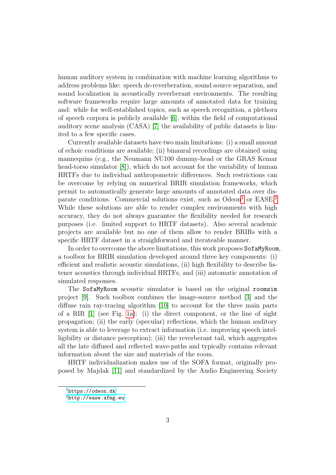human auditory system in combination with machine learning algorithms to address problems like: speech de-reverberation, sound source separation, and sound localization in acoustically reverberant environments. The resulting software frameworks require large amounts of annotated data for training and: while for well-established topics, such as speech recognition, a plethora of speech corpora is publicly available [\[6\]](#page-12-5), within the field of computational auditory scene analysis (CASA) [\[7\]](#page-13-0) the availability of public datasets is limited to a few specific cases.

Currently available datasets have two main limitations: (i) a small amount of echoic conditions are available; (ii) binaural recordings are obtained using mannequins (e.g., the Neumann NU100 dummy-head or the GRAS Kemar head-torso simulator [\[8\]](#page-13-1), which do not account for the variability of human HRTFs due to individual anthropometric differences. Such restrictions can be overcome by relying on numerical BRIR simulation frameworks, which permit to automatically generate large amounts of annotated data over disparate conditions. Commercial solutions exist, such as  $Odeon<sup>1</sup>$  $Odeon<sup>1</sup>$  $Odeon<sup>1</sup>$  or  $EASE<sup>2</sup>$  $EASE<sup>2</sup>$  $EASE<sup>2</sup>$ While these solutions are able to render complex environments with high accuracy, they do not always guarantee the flexibility needed for research purposes (i.e. limited support to HRTF datasets). Also several academic projects are available but no one of them allow to render BRIRs with a specific HRTF dataset in a straighforward and iterateable manner.

In order to overcome the above limitations, this work proposes SofaMyRoom, a toolbox for BRIR simulation developed around three key components: (i) efficient and realistic acoustic simulations, (ii) high flexibility to describe listener acoustics through individual HRTFs, and (iii) automatic annotation of simulated responses.

The SofaMyRoom acoustic simulator is based on the original roomsim project [\[9\]](#page-13-2). Such toolbox combines the image-source method [\[3\]](#page-12-2) and the diffuse rain ray-tracing algorithm [\[10\]](#page-13-3) to account for the three main parts of a RIR [\[1\]](#page-12-0) (see Fig. [1a\)](#page-3-0): (i) the direct component, or the line of sight propagation; (ii) the early (specular) reflections, which the human auditory system is able to leverage to extract information (i.e. improving speech intelligibility or distance perception); (iii) the reverberant tail, which aggregates all the late diffused and reflected wave-paths and typically contains relevant information about the size and materials of the room.

HRTF individualization makes use of the SOFA format, originally proposed by Majdak [\[11\]](#page-13-4) and standardized by the Audio Engineering Society

<span id="page-2-0"></span><sup>1</sup><https://odeon.dk>

<span id="page-2-1"></span> $^{2}$ <http://ease.afmg.eu>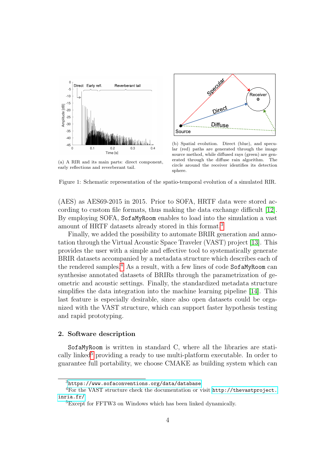<span id="page-3-0"></span>

(a) A RIR and its main parts: direct component, early reflections and reverberant tail.



(b) Spatial evolution. Direct (blue), and specular (red) paths are generated through the image source method, while diffused rays (green) are generated through the diffuse rain algorithm. The circle around the receiver identifies its detection sphere.

Figure 1: Schematic representation of the spatio-temporal evolution of a simulated RIR.

(AES) as AES69-2015 in 2015. Prior to SOFA, HRTF data were stored according to custom file formats, thus making the data exchange difficult [\[12\]](#page-13-5). By employing SOFA, SofaMyRoom enables to load into the simulation a vast amount of HRTF datasets already stored in this format.[3](#page-3-1)

Finally, we added the possibility to automate BRIR generation and annotation through the Virtual Acoustic Space Traveler (VAST) project [\[13\]](#page-13-6). This provides the user with a simple and effective tool to systematically generate BRIR datasets accompanied by a metadata structure which describes each of the rendered samples.<sup>[4](#page-3-2)</sup> As a result, with a few lines of code SofaMyRoom can synthesise annotated datasets of BRIRs through the parametrization of geometric and acoustic settings. Finally, the standardized metadata structure simplifies the data integration into the machine learning pipeline [\[14\]](#page-13-7). This last feature is especially desirable, since also open datasets could be organized with the VAST structure, which can support faster hypothesis testing and rapid prototyping.

#### 2. Software description

SofaMyRoom is written in standard C, where all the libraries are stati-cally linked<sup>[5](#page-3-3)</sup> providing a ready to use multi-platform executable. In order to guarantee full portability, we choose CMAKE as building system which can

<span id="page-3-2"></span><span id="page-3-1"></span> $3$ <https://www.sofaconventions.org/data/database>

<sup>4</sup>For the VAST structure check the documentation or visit [http://thevastproject.](http://thevastproject.inria.fr/) [inria.fr/](http://thevastproject.inria.fr/)

<span id="page-3-3"></span><sup>5</sup>Except for FFTW3 on Windows which has been linked dynamically.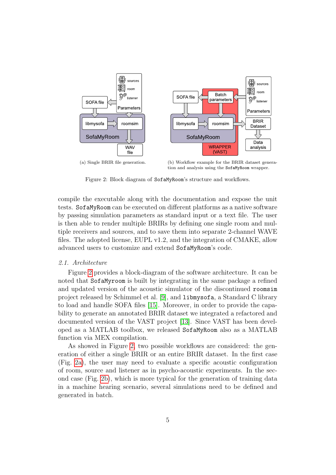<span id="page-4-0"></span>

(a) Single BRIR file generation. (b) Workflow example for the BRIR dataset generation and analysis using the SofaMyRoom wrapper.

Figure 2: Block diagram of SofaMyRoom's structure and workflows.

compile the executable along with the documentation and expose the unit tests. SofaMyRoom can be executed on different platforms as a native software by passing simulation parameters as standard input or a text file. The user is then able to render multiple BRIRs by defining one single room and multiple receivers and sources, and to save them into separate 2-channel WAVE files. The adopted license, EUPL v1.2, and the integration of CMAKE, allow advanced users to customize and extend SofaMyRoom's code.

## 2.1. Architecture

Figure [2](#page-4-0) provides a block-diagram of the software architecture. It can be noted that SofaMyroom is built by integrating in the same package a refined and updated version of the acoustic simulator of the discontinued roomsim project released by Schimmel et al. [\[9\]](#page-13-2), and libmysofa, a Standard C library to load and handle SOFA files [\[15\]](#page-14-0). Moreover, in order to provide the capability to generate an annotated BRIR dataset we integrated a refactored and documented version of the VAST project [\[13\]](#page-13-6). Since VAST has been developed as a MATLAB toolbox, we released SofaMyRoom also as a MATLAB function via MEX compilation.

As showed in Figure [2,](#page-4-0) two possible workflows are considered: the generation of either a single BRIR or an entire BRIR dataset. In the first case (Fig. [2a\)](#page-4-0), the user may need to evaluate a specific acoustic configuration of room, source and listener as in psycho-acoustic experiments. In the second case (Fig. [2b\)](#page-4-0), which is more typical for the generation of training data in a machine hearing scenario, several simulations need to be defined and generated in batch.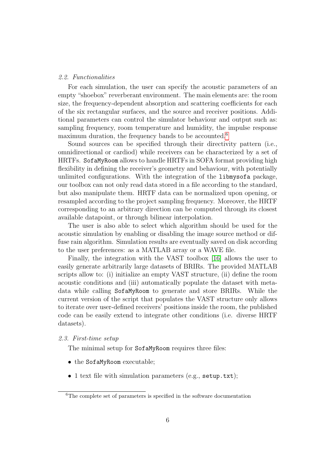#### 2.2. Functionalities

For each simulation, the user can specify the acoustic parameters of an empty "shoebox" reverberant environment. The main elements are: the room size, the frequency-dependent absorption and scattering coefficients for each of the six rectangular surfaces, and the source and receiver positions. Additional parameters can control the simulator behaviour and output such as: sampling frequency, room temperature and humidity, the impulse response maximum duration, the frequency bands to be accounted.<sup>[6](#page-5-0)</sup>

Sound sources can be specified through their directivity pattern (i.e., omnidirectional or cardiod) while receivers can be characterized by a set of HRTFs. SofaMyRoom allows to handle HRTFs in SOFA format providing high flexibility in defining the receiver's geometry and behaviour, with potentially unlimited configurations. With the integration of the libmysofa package, our toolbox can not only read data stored in a file according to the standard, but also manipulate them. HRTF data can be normalized upon opening, or resampled according to the project sampling frequency. Moreover, the HRTF corresponding to an arbitrary direction can be computed through its closest available datapoint, or through bilinear interpolation.

The user is also able to select which algorithm should be used for the acoustic simulation by enabling or disabling the image source method or diffuse rain algorithm. Simulation results are eventually saved on disk according to the user preferences: as a MATLAB array or a WAVE file.

Finally, the integration with the VAST toolbox [\[16\]](#page-14-1) allows the user to easily generate arbitrarily large datasets of BRIRs. The provided MATLAB scripts allow to: (i) initialize an empty VAST structure, (ii) define the room acoustic conditions and (iii) automatically populate the dataset with metadata while calling SofaMyRoom to generate and store BRIRs. While the current version of the script that populates the VAST structure only allows to iterate over user-defined receivers' positions inside the room, the published code can be easily extend to integrate other conditions (i.e. diverse HRTF datasets).

#### 2.3. First-time setup

The minimal setup for SofaMyRoom requires three files:

- the SofaMyRoom executable;
- 1 text file with simulation parameters (e.g., setup.txt);

<span id="page-5-0"></span><sup>&</sup>lt;sup>6</sup>The complete set of parameters is specified in the software documentation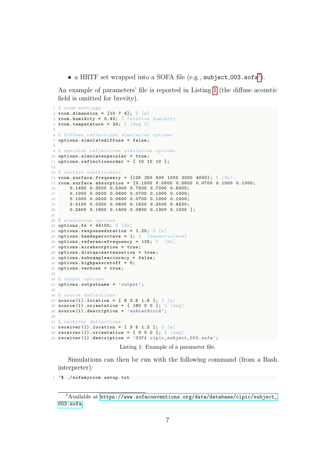• a HRTF set wrapped into a SOFA file (e.g.,  $\texttt{subject\_003}.\texttt{sofa}^7$  $\texttt{subject\_003}.\texttt{sofa}^7$ ).

An example of parameters' file is reported in Listing [1](#page-6-1) (the diffuse acoustic field is omitted for brevity).

```
1 % room settings
2 room.dimension = [10 7 4]; %3 room . humidity = 0.42; % relative humidity
4 room.temperature = 20; % [deg C]5
6 % diffuse reflections simulation options
7 options . simulatediffuse = false ;
 8
9 % specular reflections simulation options
10 options . simulatespecular = true ;
11 options.reflectionorder = [ 10 10 10 ];
12
13 % surface coefficients
14 room . surface . frequency = [125 250 500 1000 2000 4000]; % [Hz]15 room . surface . absorption = [0.1000 0.0500 0.0600 0.0700 0.1000 0.1000;
16 0.1400 0.3500 0.5300 0.7500 0.7000 0.6000;
17 0.1000 0.0500 0.0600 0.0700 0.1000 0.1000;
18 0.1000 0.0500 0.0600 0.0700 0.1000 0.1000;
19 0.0100 0.0200 0.0600 0.1500 0.2500 0.4500;
20 0.2400 0.1900 0.1400 0.0800 0.1300 0.1000 ];
2122 % simulation options
23 options . fs = 44100; % [Hz]
24 options.responseduration = 1.25; % [s]
25 options . bandsperoctave = 1; % [bands/octave]
26 options.referencefrequency = 125; % [Hz]
27 options . airabsorption = true ;
28 options . distanceattenuation = true ;
29 options . subsampleaccuracy = false ;
30 options . highpasscutoff = 0;
31 options . verbose = true ;
32
33 % output options
34 options . outputname = 'output ';
35
36 % source definitions
37 source (1). location = [ 8 2.5 1.6 ]; % [m]
38 source (1) . orientation = [ 180 0 0 ]; % [deg]39 source (1) . description = 'subcardioid ';
40
41 % receiver definitions
42 \texttt{receiver}(1). location = [ 3 5 1.2 ]; % [m]
43 receiver (1). orientation = [ 0 0 0 ]; % [deg]44 receiver (1) . description = 'SOFA cipic_subject_003 . sofa ';
```
Listing 1: Example of a parameter file.

Simulations can then be run with the following command (from a Bash interpreter):

~\$ ./ sofamyroom setup . txt

<span id="page-6-0"></span>Available at [https://www.sofaconventions.org/data/database/cipic/subject\\_](https://www.sofaconventions.org/data/database/cipic/subject_003.sofa) [003.sofa](https://www.sofaconventions.org/data/database/cipic/subject_003.sofa)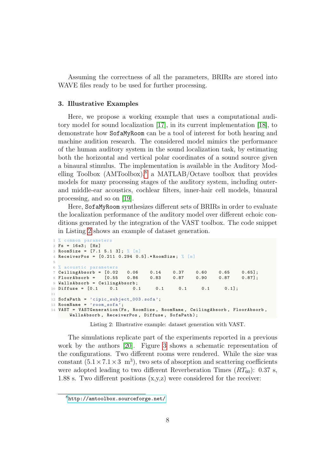Assuming the correctness of all the parameters, BRIRs are stored into WAVE files ready to be used for further processing.

#### 3. Illustrative Examples

Here, we propose a working example that uses a computational auditory model for sound localization [\[17\]](#page-14-2), in its current implementation [\[18\]](#page-14-3), to demonstrate how SofaMyRoom can be a tool of interest for both hearing and machine audition research. The considered model mimics the performance of the human auditory system in the sound localization task, by estimating both the horizontal and vertical polar coordinates of a sound source given a binaural stimulus. The implementation is available in the Auditory Modelling Toolbox  $(AMToolbox)^8$  $(AMToolbox)^8$  a MATLAB/Octave toolbox that provides models for many processing stages of the auditory system, including outerand middle-ear acoustics, cochlear filters, inner-hair cell models, binaural processing, and so on [\[19\]](#page-14-4).

Here, SofaMyRoom synthesizes different sets of BRIRs in order to evaluate the localization performance of the auditory model over different echoic conditions generated by the integration of the VAST toolbox. The code snippet in Listing [2](#page-7-1) shows an example of dataset generation.

```
1 % common parameters
2 \text{ Fs} = 16e3; [Hz]
3 RoomSize = [7.1 5.1 3]; % [m]
4 ReceiverPos = [0.211 0.294 0.5].* RoomSize ; % [m]
 5
6 % acoustic parameters
7 CeilingAbsorb = [0.02 0.06 0.14 0.37 0.60 0.65 0.65];
 8 FloorAbsorb = [0.55 0.86 0.83 0.87 0.90 0.87 0.87];
 9 WallsAbsorb = CeilingAbsorb ;
10 Diffuse = [0.1 0.1 0.1 0.1 0.1 0.1 0.1];
11
12 SofaPath = 'cipic_subject_003.sofa';
13 RoomName = 'room\ sofa :
14 VAST = VASTGeneration (Fs , RoomSize , RoomName , CeilingAbsorb , FloorAbsorb ,
      WallsAbsorb, ReceiverPos, Diffuse, SofaPath);
```
Listing 2: Illustrative example: dataset generation with VAST.

The simulations replicate part of the experiments reported in a previous work by the authors [\[20\]](#page-14-5). Figure [3](#page-8-0) shows a schematic representation of the configurations. Two different rooms were rendered. While the size was constant  $(5.1 \times 7.1 \times 3 \text{ m}^3)$ , two sets of absorption and scattering coefficients were adopted leading to two different Reverberation Times  $(RT_{60})$ : 0.37 s, 1.88 s. Two different positions (x,y,z) were considered for the receiver:

<span id="page-7-0"></span><sup>8</sup><http://amtoolbox.sourceforge.net/>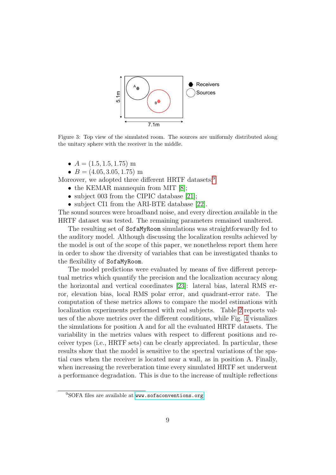<span id="page-8-0"></span>

Figure 3: Top view of the simulated room. The sources are uniformly distributed along the unitary sphere with the receiver in the middle.

- $A = (1.5, 1.5, 1.75)$  m
- $B = (4.05, 3.05, 1.75)$  m

Moreover, we adopted three different HRTF datasets:<sup>[9](#page-8-1)</sup>

- the KEMAR mannequin from MIT [\[8\]](#page-13-1);
- subject 003 from the CIPIC database [\[21\]](#page-14-6);
- subject CI1 from the ARI-BTE database [\[22\]](#page-14-7).

The sound sources were broadband noise, and every direction available in the HRTF dataset was tested. The remaining parameters remained unaltered.

The resulting set of SofaMyRoom simulations was straightforwardly fed to the auditory model. Although discussing the localization results achieved by the model is out of the scope of this paper, we nonetheless report them here in order to show the diversity of variables that can be investigated thanks to the flexibility of SofaMyRoom.

The model predictions were evaluated by means of five different perceptual metrics which quantify the precision and the localization accuracy along the horizontal and vertical coordinates [\[23\]](#page-15-0): lateral bias, lateral RMS error, elevation bias, local RMS polar error, and quadrant-error rate. The computation of these metrics allows to compare the model estimations with localization experiments performed with real subjects. Table [2](#page-9-0) reports values of the above metrics over the different conditions, while Fig. [4](#page-10-0) visualizes the simulations for position A and for all the evaluated HRTF datasets. The variability in the metrics values with respect to different positions and receiver types (i.e., HRTF sets) can be clearly appreciated. In particular, these results show that the model is sensitive to the spectral variations of the spatial cues when the receiver is located near a wall, as in position A. Finally, when increasing the reverberation time every simulated HRTF set underwent a performance degradation. This is due to the increase of multiple reflections

<span id="page-8-1"></span><sup>&</sup>lt;sup>9</sup>SOFA files are available at <www.sofaconventions.org>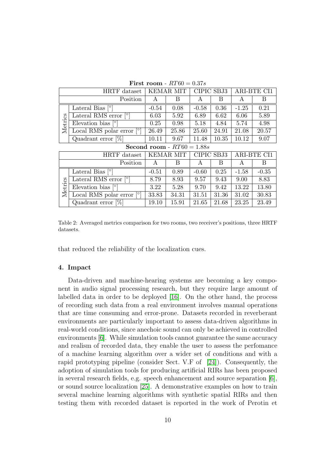<span id="page-9-0"></span>

| HRTF dataset                 |                                         | <b>KEMAR MIT</b> |       | CIPIC SBJ3 |       | <b>ARI-BTE CI1</b> |         |
|------------------------------|-----------------------------------------|------------------|-------|------------|-------|--------------------|---------|
| Position                     |                                         | A                | B     | A          | В     | A                  | B       |
| Metrics                      | Lateral Bias $\lceil \circ \rceil$      | $-0.54$          | 0.08  | $-0.58$    | 0.36  | $-1.25$            | 0.21    |
|                              | Lateral RMS error $\lceil \circ \rceil$ | 6.03             | 5.92  | 6.89       | 6.62  | 6.06               | 5.89    |
|                              | Elevation bias $[°]$                    | 0.25             | 0.98  | 5.18       | 4.84  | 5.74               | 4.98    |
|                              | Local RMS polar error                   | 26.49            | 25.86 | 25.60      | 24.91 | 21.08              | 20.57   |
|                              | Quadrant error $[\%]$                   | 10.11            | 9.67  | 11.48      | 10.35 | 10.12              | 9.07    |
| Second room - $RT60 = 1.88s$ |                                         |                  |       |            |       |                    |         |
| HRTF dataset                 |                                         | KEMAR MIT        |       | CIPIC SBJ3 |       | ARI-BTE CI1        |         |
| Position                     |                                         | A                | B     | A          | В     | A                  | B       |
| Metrics                      | Lateral Bias $\lceil \circ \rceil$      | $-0.51$          | 0.89  | $-0.60$    | 0.25  | $-1.58$            | $-0.35$ |
|                              | Lateral RMS error $\lceil \circ \rceil$ | 8.79             | 8.93  | 9.57       | 9.43  | 9.00               | 8.83    |
|                              | Elevation bias $\lceil \circ \rceil$    | 3.22             | 5.28  | 9.70       | 9.42  | 13.22              | 13.80   |
|                              | [°]<br>Local RMS polar error            | 33.83            | 34.31 | 31.51      | 31.36 | 31.02              | 30.83   |
|                              | Quadrant error $[\%]$                   | 19.10            | 15.91 | 21.65      | 21.68 | 23.25              | 23.49   |

First room -  $RT60 = 0.37s$ 

Table 2: Averaged metrics comparison for two rooms, two receiver's positions, three HRTF datasets.

that reduced the reliability of the localization cues.

#### 4. Impact

Data-driven and machine-hearing systems are becoming a key component in audio signal processing research, but they require large amount of labelled data in order to be deployed [\[16\]](#page-14-1). On the other hand, the process of recording such data from a real environment involves manual operations that are time consuming and error-prone. Datasets recorded in reverberant environments are particularly important to assess data-driven algorithms in real-world conditions, since anechoic sound can only be achieved in controlled environments [\[6\]](#page-12-5). While simulation tools cannot guarantee the same accuracy and realism of recorded data, they enable the user to assess the perfomance of a machine learning algorithm over a wider set of conditions and with a rapid prototyping pipeline (consider Sect. V.F of [\[24\]](#page-15-1)). Consequently, the adoption of simulation tools for producing artificial RIRs has been proposed in several research fields, e.g. speech enhancement and source separation [\[6\]](#page-12-5), or sound source localization [\[25\]](#page-15-2). A demonstrative examples on how to train several machine learning algorithms with synthetic spatial RIRs and then testing them with recorded dataset is reported in the work of Perotin et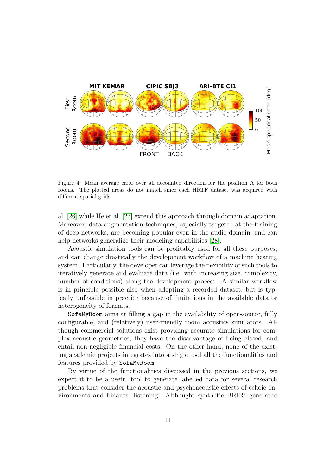<span id="page-10-0"></span>

Figure 4: Mean average error over all accounted direction for the position A for both rooms. The plotted areas do not match since each HRTF dataset was acquired with different spatial grids.

al. [\[26\]](#page-15-3) while He et al. [\[27\]](#page-15-4) extend this approach through domain adaptation. Moreover, data augmentation techniques, especially targeted at the training of deep networks, are becoming popular even in the audio domain, and can help networks generalize their modeling capabilities [\[28\]](#page-15-5).

Acoustic simulation tools can be profitably used for all these purposes, and can change drastically the development workflow of a machine hearing system. Particularly, the developer can leverage the flexibility of such tools to iteratively generate and evaluate data (i.e. with increasing size, complexity, number of conditions) along the development process. A similar workflow is in principle possible also when adopting a recorded dataset, but is typically unfeasible in practice because of limitations in the available data or heterogeneity of formats.

SofaMyRoom aims at filling a gap in the availability of open-source, fully configurable, and (relatively) user-friendly room acoustics simulators. Although commercial solutions exist providing accurate simulations for complex acoustic geometries, they have the disadvantage of being closed, and entail non-negligible financial costs. On the other hand, none of the existing academic projects integrates into a single tool all the functionalities and features provided by SofaMyRoom.

By virtue of the functionalities discussed in the previous sections, we expect it to be a useful tool to generate labelled data for several research problems that consider the acoustic and psychoacoustic effects of echoic environments and binaural listening. Althought synthetic BRIRs generated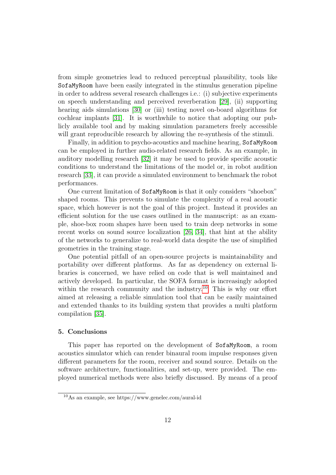from simple geometries lead to reduced perceptual plausibility, tools like SofaMyRoom have been easily integrated in the stimulus generation pipeline in order to address several research challenges i.e.: (i) subjective experiments on speech understanding and perceived reverberation [\[29\]](#page-15-6), (ii) supporting hearing aids simulations [\[30\]](#page-16-0) or (iii) testing novel on-board algorithms for cochlear implants [\[31\]](#page-16-1). It is worthwhile to notice that adopting our publicly available tool and by making simulation parameters freely accessible will grant reproducible research by allowing the re-synthesis of the stimuli.

Finally, in addition to psycho-acoustics and machine hearing, SofaMyRoom can be employed in further audio-related research fields. As an example, in auditory modelling research [\[32\]](#page-16-2) it may be used to provide specific acoustic conditions to understand the limitations of the model or, in robot audition research [\[33\]](#page-16-3), it can provide a simulated environment to benchmark the robot performances.

One current limitation of SofaMyRoom is that it only considers "shoebox" shaped rooms. This prevents to simulate the complexity of a real acoustic space, which however is not the goal of this project. Instead it provides an efficient solution for the use cases outlined in the manuscript: as an example, shoe-box room shapes have been used to train deep networks in some recent works on sound source localization [\[26,](#page-15-3) [34\]](#page-16-4), that hint at the ability of the networks to generalize to real-world data despite the use of simplified geometries in the training stage.

One potential pitfall of an open-source projects is maintainability and portability over different platforms. As far as dependency on external libraries is concerned, we have relied on code that is well maintained and actively developed. In particular, the SOFA format is increasingly adopted within the research community and the industry.<sup>[10](#page-11-0)</sup> This is why our effort aimed at releasing a reliable simulation tool that can be easily maintained and extended thanks to its building system that provides a multi platform compilation [\[35\]](#page-16-5).

#### 5. Conclusions

This paper has reported on the development of SofaMyRoom, a room acoustics simulator which can render binaural room impulse responses given different parameters for the room, receiver and sound source. Details on the software architecture, functionalities, and set-up, were provided. The employed numerical methods were also briefly discussed. By means of a proof

<span id="page-11-0"></span><sup>10</sup>As an example, see https://www.genelec.com/aural-id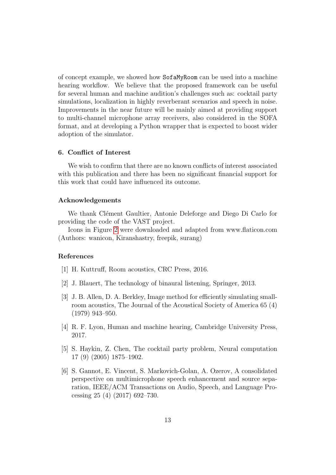of concept example, we showed how SofaMyRoom can be used into a machine hearing workflow. We believe that the proposed framework can be useful for several human and machine audition's challenges such as: cocktail party simulations, localization in highly reverberant scenarios and speech in noise. Improvements in the near future will be mainly aimed at providing support to multi-channel microphone array receivers, also considered in the SOFA format, and at developing a Python wrapper that is expected to boost wider adoption of the simulator.

### 6. Conflict of Interest

We wish to confirm that there are no known conflicts of interest associated with this publication and there has been no significant financial support for this work that could have influenced its outcome.

#### Acknowledgements

We thank Clément Gaultier, Antonie Deleforge and Diego Di Carlo for providing the code of the VAST project.

Icons in Figure [2](#page-4-0) were downloaded and adapted from www.flaticon.com (Authors: wanicon, Kiranshastry, freepik, surang)

## References

- <span id="page-12-0"></span>[1] H. Kuttruff, Room acoustics, CRC Press, 2016.
- <span id="page-12-1"></span>[2] J. Blauert, The technology of binaural listening, Springer, 2013.
- <span id="page-12-2"></span>[3] J. B. Allen, D. A. Berkley, Image method for efficiently simulating smallroom acoustics, The Journal of the Acoustical Society of America 65 (4) (1979) 943–950.
- <span id="page-12-3"></span>[4] R. F. Lyon, Human and machine hearing, Cambridge University Press, 2017.
- <span id="page-12-4"></span>[5] S. Haykin, Z. Chen, The cocktail party problem, Neural computation 17 (9) (2005) 1875–1902.
- <span id="page-12-5"></span>[6] S. Gannot, E. Vincent, S. Markovich-Golan, A. Ozerov, A consolidated perspective on multimicrophone speech enhancement and source separation, IEEE/ACM Transactions on Audio, Speech, and Language Processing 25 (4) (2017) 692–730.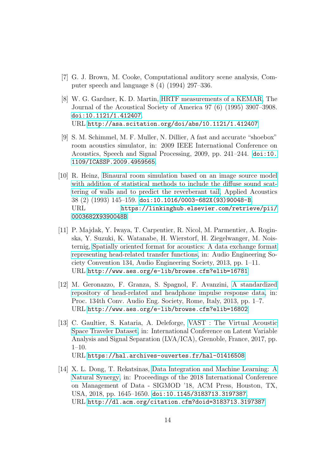- <span id="page-13-0"></span>[7] G. J. Brown, M. Cooke, Computational auditory scene analysis, Computer speech and language 8 (4) (1994) 297–336.
- <span id="page-13-1"></span>[8] W. G. Gardner, K. D. Martin, [HRTF measurements of a KEMAR,](http://asa.scitation.org/doi/abs/10.1121/1.412407) The Journal of the Acoustical Society of America 97 (6) (1995) 3907–3908. [doi:10.1121/1.412407](https://doi.org/10.1121/1.412407). URL <http://asa.scitation.org/doi/abs/10.1121/1.412407>
- <span id="page-13-2"></span>[9] S. M. Schimmel, M. F. Muller, N. Dillier, A fast and accurate "shoebox" room acoustics simulator, in: 2009 IEEE International Conference on Acoustics, Speech and Signal Processing, 2009, pp. 241–244. [doi:10.](https://doi.org/10.1109/ICASSP.2009.4959565) [1109/ICASSP.2009.4959565](https://doi.org/10.1109/ICASSP.2009.4959565).
- <span id="page-13-3"></span>[10] R. Heinz, [Binaural room simulation based on an image source model](https://linkinghub.elsevier.com/retrieve/pii/0003682X9390048B) [with addition of statistical methods to include the diffuse sound scat](https://linkinghub.elsevier.com/retrieve/pii/0003682X9390048B)[tering of walls and to predict the reverberant tail,](https://linkinghub.elsevier.com/retrieve/pii/0003682X9390048B) Applied Acoustics 38 (2) (1993) 145–159. [doi:10.1016/0003-682X\(93\)90048-B](https://doi.org/10.1016/0003-682X(93)90048-B). URL [https://linkinghub.elsevier.com/retrieve/pii/](https://linkinghub.elsevier.com/retrieve/pii/0003682X9390048B) [0003682X9390048B](https://linkinghub.elsevier.com/retrieve/pii/0003682X9390048B)
- <span id="page-13-4"></span>[11] P. Majdak, Y. Iwaya, T. Carpentier, R. Nicol, M. Parmentier, A. Roginska, Y. Suzuki, K. Watanabe, H. Wierstorf, H. Ziegelwanger, M. Noisternig, [Spatially oriented format for acoustics: A data exchange format](http://www.aes.org/e-lib/browse.cfm?elib=16781) [representing head-related transfer functions,](http://www.aes.org/e-lib/browse.cfm?elib=16781) in: Audio Engineering Society Convention 134, Audio Engineering Society, 2013, pp. 1–11. URL <http://www.aes.org/e-lib/browse.cfm?elib=16781>
- <span id="page-13-5"></span>[12] M. Geronazzo, F. Granza, S. Spagnol, F. Avanzini, [A standardized](http://www.aes.org/e-lib/browse.cfm?elib=16802) [repository of head-related and headphone impulse response data,](http://www.aes.org/e-lib/browse.cfm?elib=16802) in: Proc. 134th Conv. Audio Eng. Society, Rome, Italy, 2013, pp. 1–7. URL <http://www.aes.org/e-lib/browse.cfm?elib=16802>
- <span id="page-13-6"></span>[13] C. Gaultier, S. Kataria, A. Deleforge, [VAST : The Virtual Acoustic](https://hal.archives-ouvertes.fr/hal-01416508) [Space Traveler Dataset,](https://hal.archives-ouvertes.fr/hal-01416508) in: International Conference on Latent Variable Analysis and Signal Separation (LVA/ICA), Grenoble, France, 2017, pp. 1–10. URL <https://hal.archives-ouvertes.fr/hal-01416508>
- <span id="page-13-7"></span>[14] X. L. Dong, T. Rekatsinas, [Data Integration and Machine Learning: A](http://dl.acm.org/citation.cfm?doid=3183713.3197387) [Natural Synergy,](http://dl.acm.org/citation.cfm?doid=3183713.3197387) in: Proceedings of the 2018 International Conference on Management of Data - SIGMOD '18, ACM Press, Houston, TX, USA, 2018, pp. 1645–1650. [doi:10.1145/3183713.3197387](https://doi.org/10.1145/3183713.3197387). URL <http://dl.acm.org/citation.cfm?doid=3183713.3197387>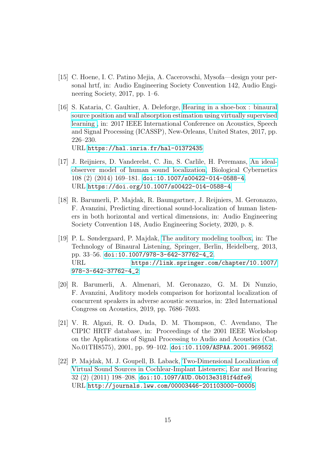- <span id="page-14-0"></span>[15] C. Hoene, I. C. Patino Mejia, A. Cacerovschi, Mysofa—design your personal hrtf, in: Audio Engineering Society Convention 142, Audio Engineering Society, 2017, pp. 1–6.
- <span id="page-14-1"></span>[16] S. Kataria, C. Gaultier, A. Deleforge, [Hearing in a shoe-box : binaural](https://hal.inria.fr/hal-01372435) [source position and wall absorption estimation using virtually supervised](https://hal.inria.fr/hal-01372435) [learning ,](https://hal.inria.fr/hal-01372435) in: 2017 IEEE International Conference on Acoustics, Speech and Signal Processing (ICASSP), New-Orleans, United States, 2017, pp. 226–230. URL <https://hal.inria.fr/hal-01372435>
- <span id="page-14-2"></span>[17] J. Reijniers, D. Vanderelst, C. Jin, S. Carlile, H. Peremans, [An ideal](https://doi.org/10.1007/s00422-014-0588-4)[observer model of human sound localization,](https://doi.org/10.1007/s00422-014-0588-4) Biological Cybernetics 108 (2) (2014) 169–181. [doi:10.1007/s00422-014-0588-4](https://doi.org/10.1007/s00422-014-0588-4). URL <https://doi.org/10.1007/s00422-014-0588-4>
- <span id="page-14-3"></span>[18] R. Barumerli, P. Majdak, R. Baumgartner, J. Reijniers, M. Geronazzo, F. Avanzini, Predicting directional sound-localization of human listeners in both horizontal and vertical dimensions, in: Audio Engineering Society Convention 148, Audio Engineering Society, 2020, p. 8.
- <span id="page-14-4"></span>[19] P. L. Søndergaard, P. Majdak, [The auditory modeling toolbox,](https://link.springer.com/chapter/10.1007/978-3-642-37762-4_2) in: The Technology of Binaural Listening, Springer, Berlin, Heidelberg, 2013, pp. 33–56. [doi:10.1007/978-3-642-37762-4\\_2](https://doi.org/10.1007/978-3-642-37762-4_2). URL [https://link.springer.com/chapter/10.1007/](https://link.springer.com/chapter/10.1007/978-3-642-37762-4_2) [978-3-642-37762-4\\_2](https://link.springer.com/chapter/10.1007/978-3-642-37762-4_2)
- <span id="page-14-5"></span>[20] R. Barumerli, A. Almenari, M. Geronazzo, G. M. Di Nunzio, F. Avanzini, Auditory models comparison for horizontal localization of concurrent speakers in adverse acoustic scenarios, in: 23rd International Congress on Acoustics, 2019, pp. 7686–7693.
- <span id="page-14-6"></span>[21] V. R. Algazi, R. O. Duda, D. M. Thompson, C. Avendano, The CIPIC HRTF database, in: Proceedings of the 2001 IEEE Workshop on the Applications of Signal Processing to Audio and Acoustics (Cat. No.01TH8575), 2001, pp. 99–102. [doi:10.1109/ASPAA.2001.969552](https://doi.org/10.1109/ASPAA.2001.969552).
- <span id="page-14-7"></span>[22] P. Majdak, M. J. Goupell, B. Laback, [Two-Dimensional Localization of](http://journals.lww.com/00003446-201103000-00005) [Virtual Sound Sources in Cochlear-Implant Listeners:,](http://journals.lww.com/00003446-201103000-00005) Ear and Hearing 32 (2) (2011) 198–208. [doi:10.1097/AUD.0b013e3181f4dfe9](https://doi.org/10.1097/AUD.0b013e3181f4dfe9). URL <http://journals.lww.com/00003446-201103000-00005>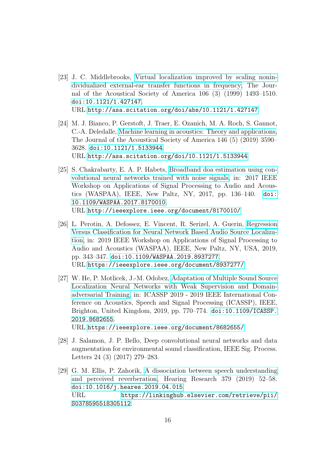- <span id="page-15-0"></span>[23] J. C. Middlebrooks, [Virtual localization improved by scaling nonin](http://asa.scitation.org/doi/abs/10.1121/1.427147)[dividualized external-ear transfer functions in frequency,](http://asa.scitation.org/doi/abs/10.1121/1.427147) The Journal of the Acoustical Society of America 106 (3) (1999) 1493–1510. [doi:10.1121/1.427147](https://doi.org/10.1121/1.427147). URL <http://asa.scitation.org/doi/abs/10.1121/1.427147>
- <span id="page-15-1"></span>[24] M. J. Bianco, P. Gerstoft, J. Traer, E. Ozanich, M. A. Roch, S. Gannot, C.-A. Deledalle, [Machine learning in acoustics: Theory and applications,](http://asa.scitation.org/doi/10.1121/1.5133944) The Journal of the Acoustical Society of America 146 (5) (2019) 3590– 3628. [doi:10.1121/1.5133944](https://doi.org/10.1121/1.5133944). URL <http://asa.scitation.org/doi/10.1121/1.5133944>
- <span id="page-15-2"></span>[25] S. Chakrabarty, E. A. P. Habets, [Broadband doa estimation using con](http://ieeexplore.ieee.org/document/8170010/)[volutional neural networks trained with noise signals,](http://ieeexplore.ieee.org/document/8170010/) in: 2017 IEEE Workshop on Applications of Signal Processing to Audio and Acoustics (WASPAA), IEEE, New Paltz, NY, 2017, pp. 136–140. [doi:](https://doi.org/10.1109/WASPAA.2017.8170010) [10.1109/WASPAA.2017.8170010](https://doi.org/10.1109/WASPAA.2017.8170010). URL <http://ieeexplore.ieee.org/document/8170010/>
- <span id="page-15-3"></span>[26] L. Perotin, A. Defossez, E. Vincent, R. Serizel, A. Guerin, [Regression](https://ieeexplore.ieee.org/document/8937277/) [Versus Classification for Neural Network Based Audio Source Localiza](https://ieeexplore.ieee.org/document/8937277/)[tion,](https://ieeexplore.ieee.org/document/8937277/) in: 2019 IEEE Workshop on Applications of Signal Processing to Audio and Acoustics (WASPAA), IEEE, New Paltz, NY, USA, 2019, pp. 343–347. [doi:10.1109/WASPAA.2019.8937277](https://doi.org/10.1109/WASPAA.2019.8937277). URL <https://ieeexplore.ieee.org/document/8937277/>
- <span id="page-15-4"></span>[27] W. He, P. Motlicek, J.-M. Odobez, [Adaptation of Multiple Sound Source](https://ieeexplore.ieee.org/document/8682655/) [Localization Neural Networks with Weak Supervision and Domain](https://ieeexplore.ieee.org/document/8682655/)[adversarial Training,](https://ieeexplore.ieee.org/document/8682655/) in: ICASSP 2019 - 2019 IEEE International Conference on Acoustics, Speech and Signal Processing (ICASSP), IEEE, Brighton, United Kingdom, 2019, pp. 770–774. [doi:10.1109/ICASSP.](https://doi.org/10.1109/ICASSP.2019.8682655) [2019.8682655](https://doi.org/10.1109/ICASSP.2019.8682655). URL <https://ieeexplore.ieee.org/document/8682655/>

<span id="page-15-5"></span>[28] J. Salamon, J. P. Bello, Deep convolutional neural networks and data

- augmentation for environmental sound classification, IEEE Sig. Process. Letters 24 (3) (2017) 279–283.
- <span id="page-15-6"></span>[29] G. M. Ellis, P. Zahorik, [A dissociation between speech understanding](https://linkinghub.elsevier.com/retrieve/pii/S0378595518305112) [and perceived reverberation,](https://linkinghub.elsevier.com/retrieve/pii/S0378595518305112) Hearing Research 379 (2019) 52–58. [doi:10.1016/j.heares.2019.04.015](https://doi.org/10.1016/j.heares.2019.04.015). URL [https://linkinghub.elsevier.com/retrieve/pii/](https://linkinghub.elsevier.com/retrieve/pii/S0378595518305112) [S0378595518305112](https://linkinghub.elsevier.com/retrieve/pii/S0378595518305112)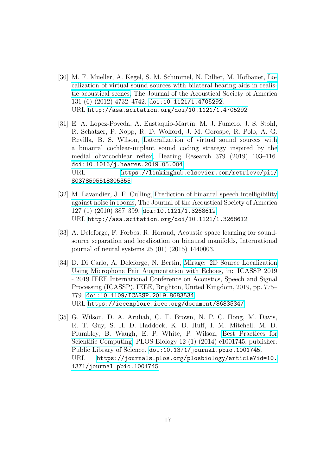- <span id="page-16-0"></span>[30] M. F. Mueller, A. Kegel, S. M. Schimmel, N. Dillier, M. Hofbauer, [Lo](http://asa.scitation.org/doi/10.1121/1.4705292)[calization of virtual sound sources with bilateral hearing aids in realis](http://asa.scitation.org/doi/10.1121/1.4705292)[tic acoustical scenes,](http://asa.scitation.org/doi/10.1121/1.4705292) The Journal of the Acoustical Society of America 131 (6) (2012) 4732–4742. [doi:10.1121/1.4705292](https://doi.org/10.1121/1.4705292). URL <http://asa.scitation.org/doi/10.1121/1.4705292>
- <span id="page-16-1"></span>[31] E. A. Lopez-Poveda, A. Eustaquio-Martín, M. J. Fumero, J. S. Stohl, R. Schatzer, P. Nopp, R. D. Wolford, J. M. Gorospe, R. Polo, A. G. Revilla, B. S. Wilson, [Lateralization of virtual sound sources with](https://linkinghub.elsevier.com/retrieve/pii/S0378595518305355) [a binaural cochlear-implant sound coding strategy inspired by the](https://linkinghub.elsevier.com/retrieve/pii/S0378595518305355) [medial olivocochlear reflex,](https://linkinghub.elsevier.com/retrieve/pii/S0378595518305355) Hearing Research 379 (2019) 103–116. [doi:10.1016/j.heares.2019.05.004](https://doi.org/10.1016/j.heares.2019.05.004). URL [https://linkinghub.elsevier.com/retrieve/pii/](https://linkinghub.elsevier.com/retrieve/pii/S0378595518305355) [S0378595518305355](https://linkinghub.elsevier.com/retrieve/pii/S0378595518305355)
- <span id="page-16-2"></span>[32] M. Lavandier, J. F. Culling, [Prediction of binaural speech intelligibility](http://asa.scitation.org/doi/10.1121/1.3268612) [against noise in rooms,](http://asa.scitation.org/doi/10.1121/1.3268612) The Journal of the Acoustical Society of America 127 (1) (2010) 387–399. [doi:10.1121/1.3268612](https://doi.org/10.1121/1.3268612). URL <http://asa.scitation.org/doi/10.1121/1.3268612>
- <span id="page-16-3"></span>[33] A. Deleforge, F. Forbes, R. Horaud, Acoustic space learning for soundsource separation and localization on binaural manifolds, International journal of neural systems 25 (01) (2015) 1440003.
- <span id="page-16-4"></span>[34] D. Di Carlo, A. Deleforge, N. Bertin, [Mirage: 2D Source Localization](https://ieeexplore.ieee.org/document/8683534/) [Using Microphone Pair Augmentation with Echoes,](https://ieeexplore.ieee.org/document/8683534/) in: ICASSP 2019 - 2019 IEEE International Conference on Acoustics, Speech and Signal Processing (ICASSP), IEEE, Brighton, United Kingdom, 2019, pp. 775– 779. [doi:10.1109/ICASSP.2019.8683534](https://doi.org/10.1109/ICASSP.2019.8683534). URL <https://ieeexplore.ieee.org/document/8683534/>
- <span id="page-16-5"></span>[35] G. Wilson, D. A. Aruliah, C. T. Brown, N. P. C. Hong, M. Davis, R. T. Guy, S. H. D. Haddock, K. D. Huff, I. M. Mitchell, M. D. Plumbley, B. Waugh, E. P. White, P. Wilson, [Best Practices for](https://journals.plos.org/plosbiology/article?id=10.1371/journal.pbio.1001745) [Scientific Computing,](https://journals.plos.org/plosbiology/article?id=10.1371/journal.pbio.1001745) PLOS Biology 12 (1) (2014) e1001745, publisher: Public Library of Science. [doi:10.1371/journal.pbio.1001745](https://doi.org/10.1371/journal.pbio.1001745). URL [https://journals.plos.org/plosbiology/article?id=10.](https://journals.plos.org/plosbiology/article?id=10.1371/journal.pbio.1001745) [1371/journal.pbio.1001745](https://journals.plos.org/plosbiology/article?id=10.1371/journal.pbio.1001745)